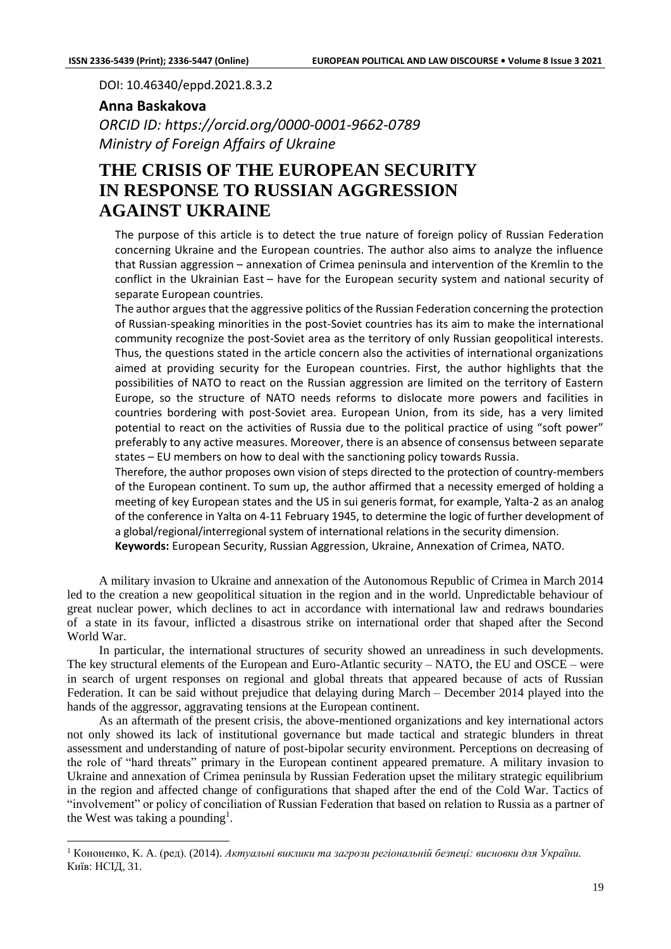DOI: 10.46340/eppd.2021.8.3.2

## **Anna Baskakova**

*ORCID ID: https://orcid.org/0000-0001-9662-0789 Ministry of Foreign Affairs of Ukraine*

## **THE CRISIS OF THE EUROPEAN SECURITY IN RESPONSE TO RUSSIAN AGGRESSION AGAINST UKRAINE**

The purpose of this article is to detect the true nature of foreign policy of Russian Federation concerning Ukraine and the European countries. The author also aims to analyze the influence that Russian aggression – annexation of Crimea peninsula and intervention of the Kremlin to the conflict in the Ukrainian East – have for the European security system and national security of separate European countries.

The author argues that the aggressive politics of the Russian Federation concerning the protection of Russian-speaking minorities in the post-Soviet countries has its aim to make the international community recognize the post-Soviet area as the territory of only Russian geopolitical interests. Thus, the questions stated in the article concern also the activities of international organizations aimed at providing security for the European countries. First, the author highlights that the possibilities of NATO to react on the Russian aggression are limited on the territory of Eastern Europe, so the structure of NATO needs reforms to dislocate more powers and facilities in countries bordering with post-Soviet area. European Union, from its side, has a very limited potential to react on the activities of Russia due to the political practice of using "soft power" preferably to any active measures. Moreover, there is an absence of consensus between separate states – EU members on how to deal with the sanctioning policy towards Russia.

Therefore, the author proposes own vision of steps directed to the protection of country-members of the European continent. To sum up, the author affirmed that a necessity emerged of holding a meeting of key European states and the US in sui generis format, for example, Yalta-2 as an analog of the conference in Yalta on 4-11 February 1945, to determine the logic of further development of a global/regional/interregional system of international relations in the security dimension.

**Keywords:** European Security, Russian Aggression, Ukraine, Annexation of Crimea, NATO.

A military invasion to Ukraine and annexation of the Autonomous Republic of Crimea in March 2014 led to the creation a new geopolitical situation in the region and in the world. Unpredictable behaviour of great nuclear power, which declines to act in accordance with international law and redraws boundaries of a state in its favour, inflicted a disastrous strike on international order that shaped after the Second World War.

In particular, the international structures of security showed an unreadiness in such developments. The key structural elements of the European and Euro-Atlantic security – NATO, the EU and OSCE – were in search of urgent responses on regional and global threats that appeared because of acts of Russian Federation. It can be said without prejudice that delaying during March – December 2014 played into the hands of the aggressor, aggravating tensions at the European continent.

As an aftermath of the present crisis, the above-mentioned organizations and key international actors not only showed its lack of institutional governance but made tactical and strategic blunders in threat assessment and understanding of nature of post-bipolar security environment. Perceptions on decreasing of the role of "hard threats" primary in the European continent appeared premature. A military invasion to Ukraine and annexation of Crimea peninsula by Russian Federation upset the military strategic equilibrium in the region and affected change of configurations that shaped after the end of the Cold War. Tactics of "involvement" or policy of conciliation of Russian Federation that based on relation to Russia as a partner of the West was taking a pounding<sup>1</sup>.

<sup>1</sup> Кононенко, K. A. (ред). (2014). *Актуальні виклики та загрози регіональній безпеці: висновки для України.* Київ: НСІД, 31.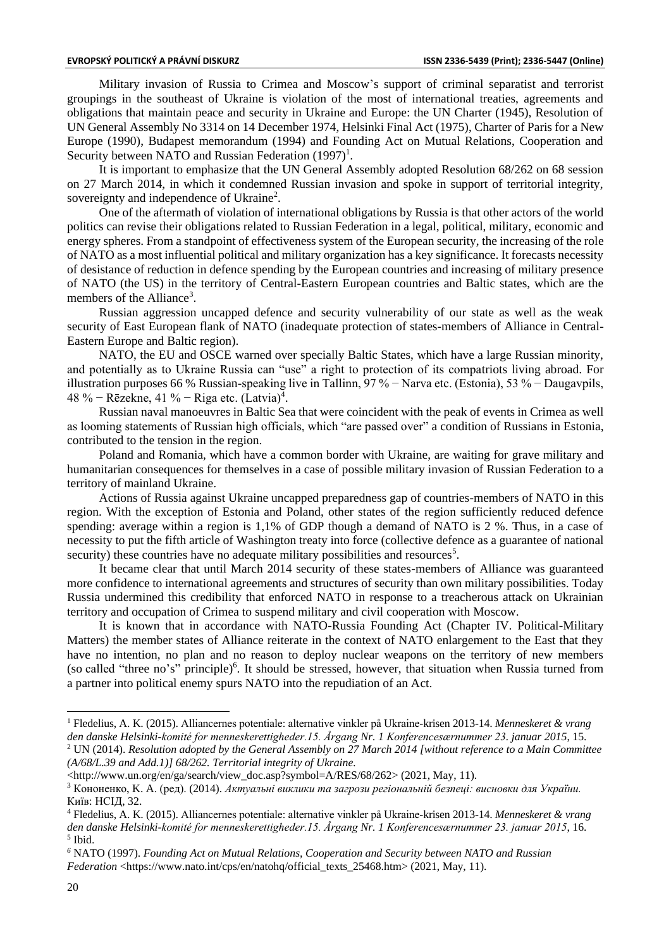Military invasion of Russia to Crimea and Moscow's support of criminal separatist and terrorist groupings in the southeast of Ukraine is violation of the most of international treaties, agreements and obligations that maintain peace and security in Ukraine and Europe: the UN Charter (1945), Resolution of UN General Assembly No 3314 on 14 December 1974, Helsinki Final Act (1975), Charter of Paris for a New Europe (1990), Budapest memorandum (1994) and Founding Act on Mutual Relations, Cooperation and Security between NATO and Russian Federation  $(1997)^1$ .

It is important to emphasize that the UN General Assembly adopted Resolution 68/262 on 68 session on 27 March 2014, in which it condemned Russian invasion and spoke in support of territorial integrity, sovereignty and independence of Ukraine<sup>2</sup>.

One of the aftermath of violation of international obligations by Russia is that other actors of the world politics can revise their obligations related to Russian Federation in a legal, political, military, economic and energy spheres. From a standpoint of effectiveness system of the European security, the increasing of the role of NATO as a most influential political and military organization has a key significance. It forecasts necessity of desistance of reduction in defence spending by the European countries and increasing of military presence of NATO (the US) in the territory of Central-Eastern European countries and Baltic states, which are the members of the Alliance<sup>3</sup>.

Russian aggression uncapped defence and security vulnerability of our state as well as the weak security of East European flank of NATO (inadequate protection of states-members of Alliance in Central-Eastern Europe and Baltic region).

NATO, the EU and OSCE warned over specially Baltic States, which have a large Russian minority, and potentially as to Ukraine Russia can "use" a right to protection of its compatriots living abroad. For illustration purposes 66 % Russian-speaking live in Tallinn, 97 % − Narva etc. (Estonia), 53 % − Daugavpils, 48 % – Rēzekne, 41 % – Riga etc. (Latvia)<sup>4</sup>.

Russian naval manoeuvres in Baltic Sea that were coincident with the peak of events in Crimea as well as looming statements of Russian high officials, which "are passed over" a condition of Russians in Estonia, contributed to the tension in the region.

Poland and Romania, which have a common border with Ukraine, are waiting for grave military and humanitarian consequences for themselves in a case of possible military invasion of Russian Federation to a territory of mainland Ukraine.

Actions of Russia against Ukraine uncapped preparedness gap of countries-members of NATO in this region. With the exception of Estonia and Poland, other states of the region sufficiently reduced defence spending: average within a region is 1,1% of GDP though a demand of NATO is 2 %. Thus, in a case of necessity to put the fifth article of Washington treaty into force (collective defence as a guarantee of national security) these countries have no adequate military possibilities and resources<sup>5</sup>.

It became clear that until March 2014 security of these states-members of Alliance was guaranteed more confidence to international agreements and structures of security than own military possibilities. Today Russia undermined this credibility that enforced NATO in response to a treacherous attack on Ukrainian territory and occupation of Crimea to suspend military and civil cooperation with Moscow.

It is known that in accordance with NATO-Russia Founding Act (Chapter IV. Political-Military Matters) the member states of Alliance reiterate in the context of NATO enlargement to the East that they have no intention, no plan and no reason to deploy nuclear weapons on the territory of new members (so called "three no's" principle)<sup>6</sup>. It should be stressed, however, that situation when Russia turned from a partner into political enemy spurs NATO into the repudiation of an Act.

<sup>1</sup> Fledelius, A. K. (2015). Alliancernes potentiale: alternative vinkler på Ukraine-krisen 2013-14. *Menneskeret & vrang den danske Helsinki-komité for menneskerettigheder.15. Årgang Nr. 1 Konferencesærnummer 23. januar 2015*, 15. <sup>2</sup> UN (2014). *Resolution adopted by the General Assembly on 27 March 2014 [without reference to a Main Committee (A/68/L.39 and Add.1)] 68/262. Territorial integrity of Ukraine.*

<sup>&</sup>lt;http://www.un.org/en/ga/search/view\_doc.asp?symbol=A/RES/68/262> (2021, May, 11).

<sup>3</sup> Кононенко, K. A. (ред). (2014). *Актуальні виклики та загрози регіональній безпеці: висновки для України.* Київ: НСІД, 32.

<sup>4</sup> Fledelius, A. K. (2015). Alliancernes potentiale: alternative vinkler på Ukraine-krisen 2013-14. *Menneskeret & vrang den danske Helsinki-komité for menneskerettigheder.15. Årgang Nr. 1 Konferencesærnummer 23. januar 2015*, 16. 5 Ibid.

*<sup>6</sup>* NATO (1997). *Founding Act on Mutual Relations, Cooperation and Security between NATO and Russian* 

*Federation* <https://www.nato.int/cps/en/natohq/official\_texts\_25468.htm> (2021, May, 11).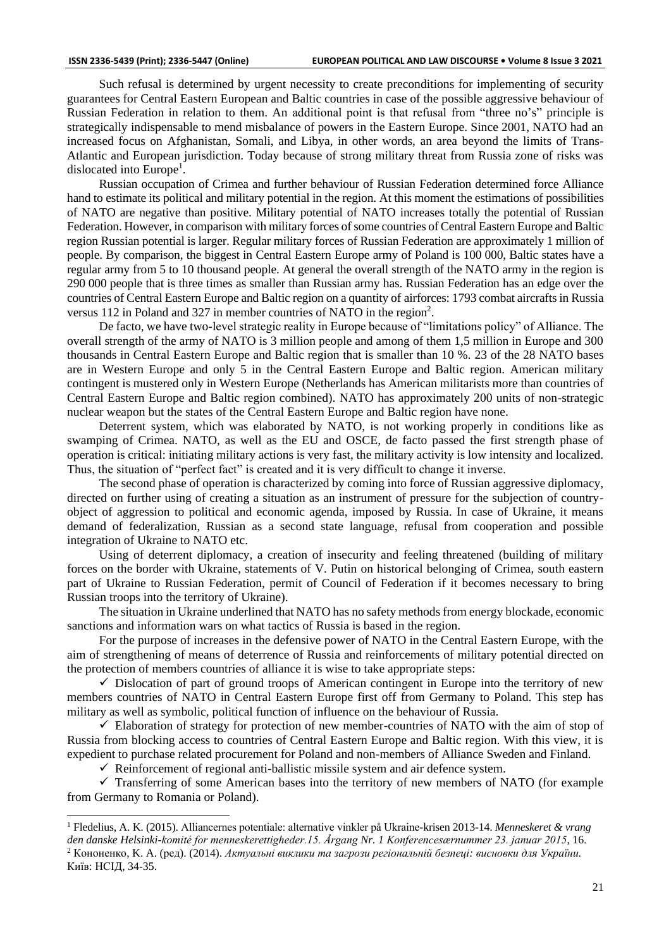Such refusal is determined by urgent necessity to create preconditions for implementing of security guarantees for Central Eastern European and Baltic countries in case of the possible aggressive behaviour of Russian Federation in relation to them. An additional point is that refusal from "three no's" principle is strategically indispensable to mend misbalance of powers in the Eastern Europe. Since 2001, NATO had an increased focus on Afghanistan, Somali, and Libya, in other words, an area beyond the limits of Trans-Atlantic and European jurisdiction. Today because of strong military threat from Russia zone of risks was dislocated into Europe<sup>1</sup>.

Russian occupation of Crimea and further behaviour of Russian Federation determined force Alliance hand to estimate its political and military potential in the region. At this moment the estimations of possibilities of NATO are negative than positive. Military potential of NATO increases totally the potential of Russian Federation. However, in comparison with military forces of some countries of Central Eastern Europe and Baltic region Russian potential is larger. Regular military forces of Russian Federation are approximately 1 million of people. By comparison, the biggest in Central Eastern Europe army of Poland is 100 000, Baltic states have a regular army from 5 to 10 thousand people. At general the overall strength of the NATO army in the region is 290 000 people that is three times as smaller than Russian army has. Russian Federation has an edge over the countries of Central Eastern Europe and Baltic region on a quantity of airforces: 1793 combat aircrafts in Russia versus 112 in Poland and 327 in member countries of NATO in the region<sup>2</sup>.

De facto, we have two-level strategic reality in Europe because of "limitations policy" of Alliance. The overall strength of the army of NATO is 3 million people and among of them 1,5 million in Europe and 300 thousands in Central Eastern Europe and Baltic region that is smaller than 10 %. 23 of the 28 NATO bases are in Western Europe and only 5 in the Central Eastern Europe and Baltic region. American military contingent is mustered only in Western Europe (Netherlands has American militarists more than countries of Central Eastern Europe and Baltic region combined). NATO has approximately 200 units of non-strategic nuclear weapon but the states of the Central Eastern Europe and Baltic region have none.

Deterrent system, which was elaborated by NATO, is not working properly in conditions like as swamping of Crimea. NATO, as well as the EU and OSCE, de facto passed the first strength phase of operation is critical: initiating military actions is very fast, the military activity is low intensity and localized. Thus, the situation of "perfect fact" is created and it is very difficult to change it inverse.

The second phase of operation is characterized by coming into force of Russian aggressive diplomacy, directed on further using of creating a situation as an instrument of pressure for the subjection of countryobject of aggression to political and economic agenda, imposed by Russia. In case of Ukraine, it means demand of federalization, Russian as a second state language, refusal from cooperation and possible integration of Ukraine to NATO etc.

Using of deterrent diplomacy, a creation of insecurity and feeling threatened (building of military forces on the border with Ukraine, statements of V. Putin on historical belonging of Crimea, south eastern part of Ukraine to Russian Federation, permit of Council of Federation if it becomes necessary to bring Russian troops into the territory of Ukraine).

The situation in Ukraine underlined that NATO has no safety methods from energy blockade, economic sanctions and information wars on what tactics of Russia is based in the region.

For the purpose of increases in the defensive power of NATO in the Central Eastern Europe, with the aim of strengthening of means of deterrence of Russia and reinforcements of military potential directed on the protection of members countries of alliance it is wise to take appropriate steps:

 $\checkmark$  Dislocation of part of ground troops of American contingent in Europe into the territory of new members countries of NATO in Central Eastern Europe first off from Germany to Poland. This step has military as well as symbolic, political function of influence on the behaviour of Russia.

 $\checkmark$  Elaboration of strategy for protection of new member-countries of NATO with the aim of stop of Russia from blocking access to countries of Central Eastern Europe and Baltic region. With this view, it is expedient to purchase related procurement for Poland and non-members of Alliance Sweden and Finland.

 $\checkmark$  Reinforcement of regional anti-ballistic missile system and air defence system.

 $\checkmark$  Transferring of some American bases into the territory of new members of NATO (for example from Germany to Romania or Poland).

<sup>1</sup> Fledelius, A. K. (2015). Alliancernes potentiale: alternative vinkler på Ukraine-krisen 2013-14. *Menneskeret & vrang den danske Helsinki-komité for menneskerettigheder.15. Årgang Nr. 1 Konferencesærnummer 23. januar 2015*, 16. <sup>2</sup> Кононенко, K. A. (ред). (2014). *Актуальні виклики та загрози регіональній безпеці: висновки для України.* Київ: НСІД, 34-35.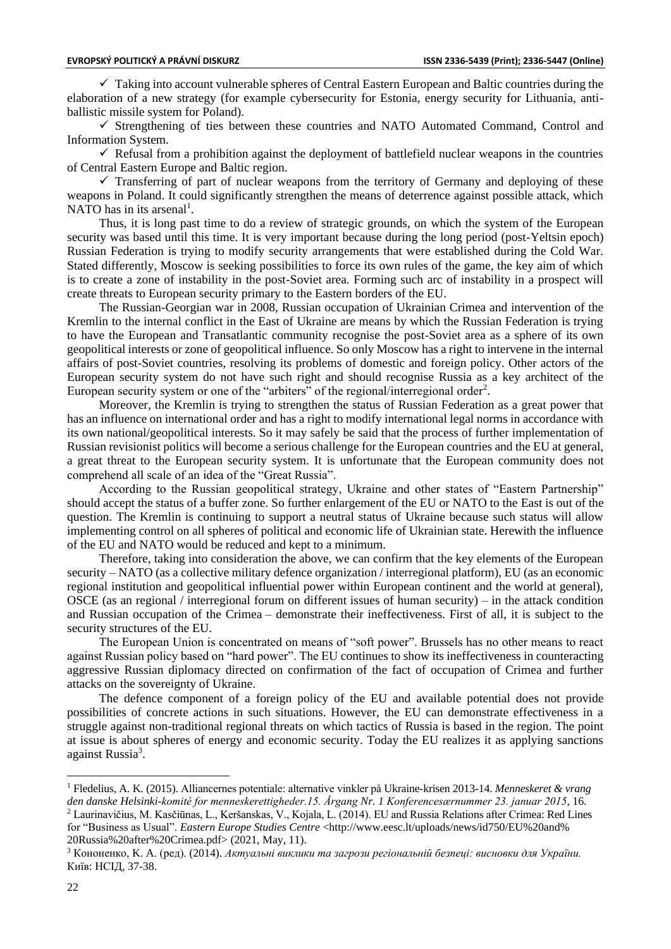$\checkmark$  Taking into account vulnerable spheres of Central Eastern European and Baltic countries during the elaboration of a new strategy (for example cybersecurity for Estonia, energy security for Lithuania, antiballistic missile system for Poland).

✓ Strengthening of ties between these countries and NATO Automated Command, Control and Information System.

 $\checkmark$  Refusal from a prohibition against the deployment of battlefield nuclear weapons in the countries of Central Eastern Europe and Baltic region.

 $\checkmark$  Transferring of part of nuclear weapons from the territory of Germany and deploying of these weapons in Poland. It could significantly strengthen the means of deterrence against possible attack, which NATO has in its arsenal<sup>1</sup>.

Thus, it is long past time to do a review of strategic grounds, on which the system of the European security was based until this time. It is very important because during the long period (post-Yeltsin epoch) Russian Federation is trying to modify security arrangements that were established during the Cold War. Stated differently, Moscow is seeking possibilities to force its own rules of the game, the key aim of which is to create a zone of instability in the post-Soviet area. Forming such arc of instability in a prospect will create threats to European security primary to the Eastern borders of the EU.

The Russian-Georgian war in 2008, Russian occupation of Ukrainian Crimea and intervention of the Kremlin to the internal conflict in the East of Ukraine are means by which the Russian Federation is trying to have the European and Transatlantic community recognise the post-Soviet area as a sphere of its own geopolitical interests or zone of geopolitical influence. So only Moscow has a right to intervene in the internal affairs of post-Soviet countries, resolving its problems of domestic and foreign policy. Other actors of the European security system do not have such right and should recognise Russia as a key architect of the European security system or one of the "arbiters" of the regional/interregional order<sup>2</sup>.

Moreover, the Kremlin is trying to strengthen the status of Russian Federation as a great power that has an influence on international order and has a right to modify international legal norms in accordance with its own national/geopolitical interests. So it may safely be said that the process of further implementation of Russian revisionist politics will become a serious challenge for the European countries and the EU at general, a great threat to the European security system. It is unfortunate that the European community does not comprehend all scale of an idea of the "Great Russia".

According to the Russian geopolitical strategy, Ukraine and other states of "Eastern Partnership" should accept the status of a buffer zone. So further enlargement of the EU or NATO to the East is out of the question. The Kremlin is continuing to support a neutral status of Ukraine because such status will allow implementing control on all spheres of political and economic life of Ukrainian state. Herewith the influence of the EU and NATO would be reduced and kept to a minimum.

Therefore, taking into consideration the above, we can confirm that the key elements of the European security – NATO (as a collective military defence organization / interregional platform), EU (as an economic regional institution and geopolitical influential power within European continent and the world at general), OSCE (as an regional / interregional forum on different issues of human security) – in the attack condition and Russian occupation of the Crimea – demonstrate their ineffectiveness. First of all, it is subject to the security structures of the EU.

The European Union is concentrated on means of "soft power". Brussels has no other means to react against Russian policy based on "hard power". The EU continues to show its ineffectiveness in counteracting aggressive Russian diplomacy directed on confirmation of the fact of occupation of Crimea and further attacks on the sovereignty of Ukraine.

The defence component of a foreign policy of the EU and available potential does not provide possibilities of concrete actions in such situations. However, the EU can demonstrate effectiveness in a struggle against non-traditional regional threats on which tactics of Russia is based in the region. The point at issue is about spheres of energy and economic security. Today the EU realizes it as applying sanctions against Russia<sup>3</sup>.

<sup>1</sup> Fledelius, A. K. (2015). Alliancernes potentiale: alternative vinkler på Ukraine-krisen 2013-14. *Menneskeret & vrang den danske Helsinki-komité for menneskerettigheder.15. Årgang Nr. 1 Konferencesærnummer 23. januar 2015*, 16. <sup>2</sup> Laurinavičius, M. Kasčiūnas, L., Keršanskas, V., Kojala, L. (2014). EU and Russia Relations after Crimea: Red Lines

for "Business as Usual". *Eastern Europe Studies Centre* <http://www.eesc.lt/uploads/news/id750/EU%20and% 20Russia%20after%20Crimea.pdf> (2021, May, 11).

<sup>3</sup> Кононенко, K. A. (ред). (2014). *Актуальні виклики та загрози регіональній безпеці: висновки для України.* Київ: НСІД, 37-38.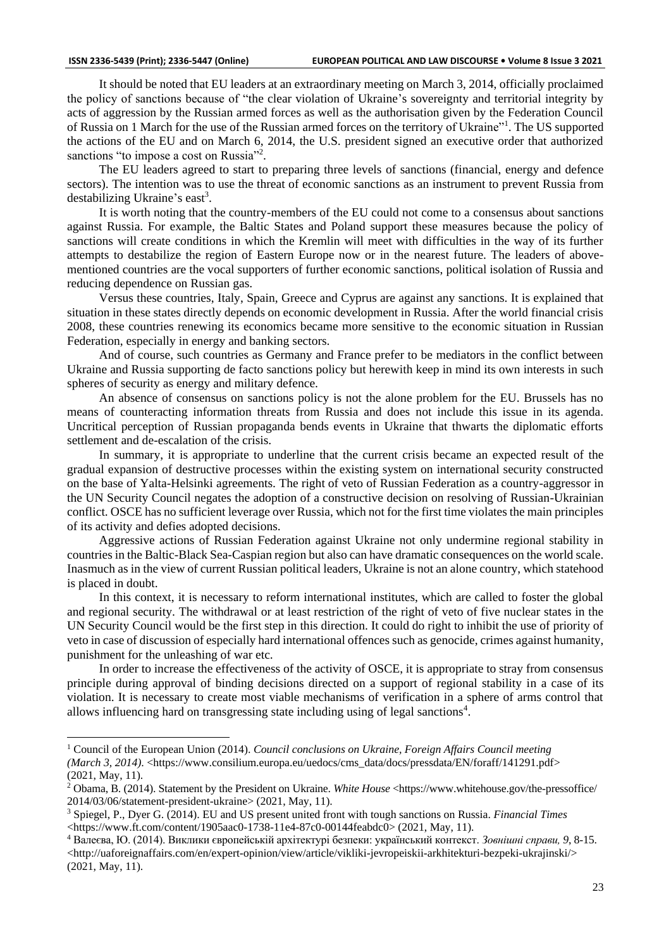It should be noted that EU leaders at an extraordinary meeting on March 3, 2014, officially proclaimed the policy of sanctions because of "the clear violation of Ukraine's sovereignty and territorial integrity by acts of aggression by the Russian armed forces as well as the authorisation given by the Federation Council of Russia on 1 March for the use of the Russian armed forces on the territory of Ukraine"<sup>1</sup>. The US supported the actions of the EU and on March 6, 2014, the U.S. president signed an executive order that authorized sanctions "to impose a cost on Russia"<sup>2</sup>.

The EU leaders agreed to start to preparing three levels of sanctions (financial, energy and defence sectors). The intention was to use the threat of economic sanctions as an instrument to prevent Russia from destabilizing Ukraine's east<sup>3</sup>.

It is worth noting that the country-members of the EU could not come to a consensus about sanctions against Russia. For example, the Baltic States and Poland support these measures because the policy of sanctions will create conditions in which the Kremlin will meet with difficulties in the way of its further attempts to destabilize the region of Eastern Europe now or in the nearest future. The leaders of abovementioned countries are the vocal supporters of further economic sanctions, political isolation of Russia and reducing dependence on Russian gas.

Versus these countries, Italy, Spain, Greece and Cyprus are against any sanctions. It is explained that situation in these states directly depends on economic development in Russia. After the world financial crisis 2008, these countries renewing its economics became more sensitive to the economic situation in Russian Federation, especially in energy and banking sectors.

And of course, such countries as Germany and France prefer to be mediators in the conflict between Ukraine and Russia supporting de facto sanctions policy but herewith keep in mind its own interests in such spheres of security as energy and military defence.

An absence of consensus on sanctions policy is not the alone problem for the EU. Brussels has no means of counteracting information threats from Russia and does not include this issue in its agenda. Uncritical perception of Russian propaganda bends events in Ukraine that thwarts the diplomatic efforts settlement and de-escalation of the crisis.

In summary, it is appropriate to underline that the current crisis became an expected result of the gradual expansion of destructive processes within the existing system on international security constructed on the base of Yalta-Helsinki agreements. The right of veto of Russian Federation as a country-aggressor in the UN Security Council negates the adoption of a constructive decision on resolving of Russian-Ukrainian conflict. OSCE has no sufficient leverage over Russia, which not for the first time violates the main principles of its activity and defies adopted decisions.

Aggressive actions of Russian Federation against Ukraine not only undermine regional stability in countries in the Baltic-Black Sea-Caspian region but also can have dramatic consequences on the world scale. Inasmuch as in the view of current Russian political leaders, Ukraine is not an alone country, which statehood is placed in doubt.

In this context, it is necessary to reform international institutes, which are called to foster the global and regional security. The withdrawal or at least restriction of the right of veto of five nuclear states in the UN Security Council would be the first step in this direction. It could do right to inhibit the use of priority of veto in case of discussion of especially hard international offences such as genocide, crimes against humanity, punishment for the unleashing of war etc.

In order to increase the effectiveness of the activity of OSCE, it is appropriate to stray from consensus principle during approval of binding decisions directed on a support of regional stability in a case of its violation. It is necessary to create most viable mechanisms of verification in a sphere of arms control that allows influencing hard on transgressing state including using of legal sanctions<sup>4</sup>.

<sup>1</sup> Council of the European Union (2014). *Council conclusions on Ukraine, Foreign Affairs Council meeting (March 3, 2014).* <https://www.consilium.europa.eu/uedocs/cms\_data/docs/pressdata/EN/foraff/141291.pdf> (2021, May, 11).

<sup>2</sup> Obama, B. (2014). Statement by the President on Ukraine. *White House* <https://www.whitehouse.gov/the-pressoffice/ 2014/03/06/statement-president-ukraine> (2021, May, 11).

<sup>3</sup> Spiegel, P., Dyer G. (2014). EU and US present united front with tough sanctions on Russia. *Financial Times* <https://www.ft.com/content/1905aac0-1738-11e4-87c0-00144feabdc0> (2021, May, 11).

<sup>4</sup> Валеєва, Ю. (2014). Виклики європейській архітектурі безпеки: український контекст. *Зовнішні справи, 9*, 8-15. <http://uaforeignaffairs.com/en/expert-opinion/view/article/vikliki-jevropeiskii-arkhitekturi-bezpeki-ukrajinski/> (2021, May, 11).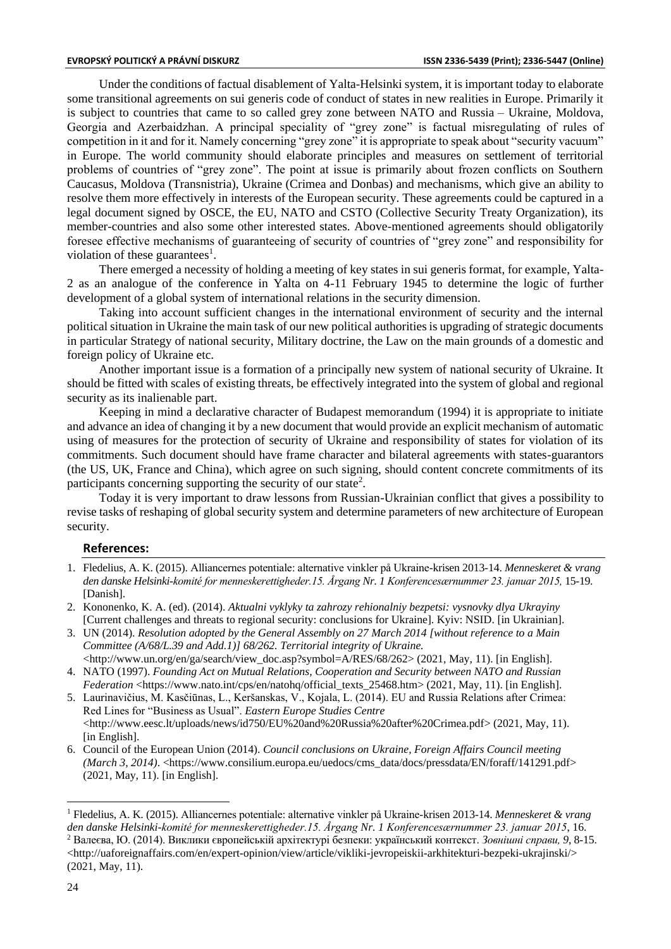Under the conditions of factual disablement of Yalta-Helsinki system, it is important today to elaborate some transitional agreements on sui generis code of conduct of states in new realities in Europe. Primarily it is subject to countries that came to so called grey zone between NATO and Russia – Ukraine, Moldova, Georgia and Azerbaidzhan. A principal speciality of "grey zone" is factual misregulating of rules of competition in it and for it. Namely concerning "grey zone" it is appropriate to speak about "security vacuum" in Europe. The world community should elaborate principles and measures on settlement of territorial problems of countries of "grey zone". The point at issue is primarily about frozen conflicts on Southern Caucasus, Moldova (Transnistria), Ukraine (Crimea and Donbas) and mechanisms, which give an ability to resolve them more effectively in interests of the European security. These agreements could be captured in a legal document signed by OSCE, the EU, NATO and CSTO (Collective Security Treaty Organization), its member-countries and also some other interested states. Above-mentioned agreements should obligatorily foresee effective mechanisms of guaranteeing of security of countries of "grey zone" and responsibility for violation of these guarantees<sup>1</sup>.

There emerged a necessity of holding a meeting of key states in sui generis format, for example, Yalta-2 as an analogue of the conference in Yalta on 4-11 February 1945 to determine the logic of further development of a global system of international relations in the security dimension.

Taking into account sufficient changes in the international environment of security and the internal political situation in Ukraine the main task of our new political authorities is upgrading of strategic documents in particular Strategy of national security, Military doctrine, the Law on the main grounds of a domestic and foreign policy of Ukraine etc.

Another important issue is a formation of a principally new system of national security of Ukraine. It should be fitted with scales of existing threats, be effectively integrated into the system of global and regional security as its inalienable part.

Keeping in mind a declarative character of Budapest memorandum (1994) it is appropriate to initiate and advance an idea of changing it by a new document that would provide an explicit mechanism of automatic using of measures for the protection of security of Ukraine and responsibility of states for violation of its commitments. Such document should have frame character and bilateral agreements with states-guarantors (the US, UK, France and China), which agree on such signing, should content concrete commitments of its participants concerning supporting the security of our state<sup>2</sup>.

Today it is very important to draw lessons from Russian-Ukrainian conflict that gives a possibility to revise tasks of reshaping of global security system and determine parameters of new architecture of European security.

## **References:**

- 1. Fledelius, A. K. (2015). Alliancernes potentiale: alternative vinkler på Ukraine-krisen 2013-14. *Menneskeret & vrang den danske Helsinki-komité for menneskerettigheder.15. Årgang Nr. 1 Konferencesærnummer 23. januar 2015,* 15-19. [Danish].
- 2. Kononenko, K. A. (ed). (2014). *Aktualni vyklyky ta zahrozy rehionalniy bezpetsi: vysnovky dlya Ukrayiny* [Current challenges and threats to regional security: conclusions for Ukraine]. Kyiv: NSID. [in Ukrainian].
- 3. UN (2014). *Resolution adopted by the General Assembly on 27 March 2014 [without reference to a Main Committee (A/68/L.39 and Add.1)] 68/262. Territorial integrity of Ukraine.* <http://www.un.org/en/ga/search/view\_doc.asp?symbol=A/RES/68/262> (2021, May, 11). [in English].
- 4. NATO (1997). *Founding Act on Mutual Relations, Cooperation and Security between NATO and Russian Federation* <https://www.nato.int/cps/en/natohq/official\_texts\_25468.htm> (2021, May, 11). [in English].
- 5. Laurinavičius, M. Kasčiūnas, L., Keršanskas, V., Kojala, L. (2014). EU and Russia Relations after Crimea: Red Lines for "Business as Usual". *Eastern Europe Studies Centre* [<http://www.eesc.lt/uploads/news/id750/EU%20and%20Russia%20after%20Crimea.pdf>](http://www.eesc.lt/uploads/news/id750/EU%20and%20Russia%20after%20Crimea.pdf) (2021, May, 11). [in English].
- 6. Council of the European Union (2014). *Council conclusions on Ukraine, Foreign Affairs Council meeting (March 3, 2014).* [<https://www.consilium.europa.eu/uedocs/cms\\_data/docs/pressdata/EN/foraff/141291.pdf>](https://www.consilium.europa.eu/uedocs/cms_data/docs/pressdata/EN/foraff/141291.pdf) (2021, May, 11). [in English].

<sup>1</sup> Fledelius, A. K. (2015). Alliancernes potentiale: alternative vinkler på Ukraine-krisen 2013-14. *Menneskeret & vrang den danske Helsinki-komité for menneskerettigheder.15. Årgang Nr. 1 Konferencesærnummer 23. januar 2015*, 16. <sup>2</sup> Валеєва, Ю. (2014). Виклики європейській архітектурі безпеки: український контекст. *Зовнішні справи, 9*, 8-15. <http://uaforeignaffairs.com/en/expert-opinion/view/article/vikliki-jevropeiskii-arkhitekturi-bezpeki-ukrajinski/> (2021, May, 11).